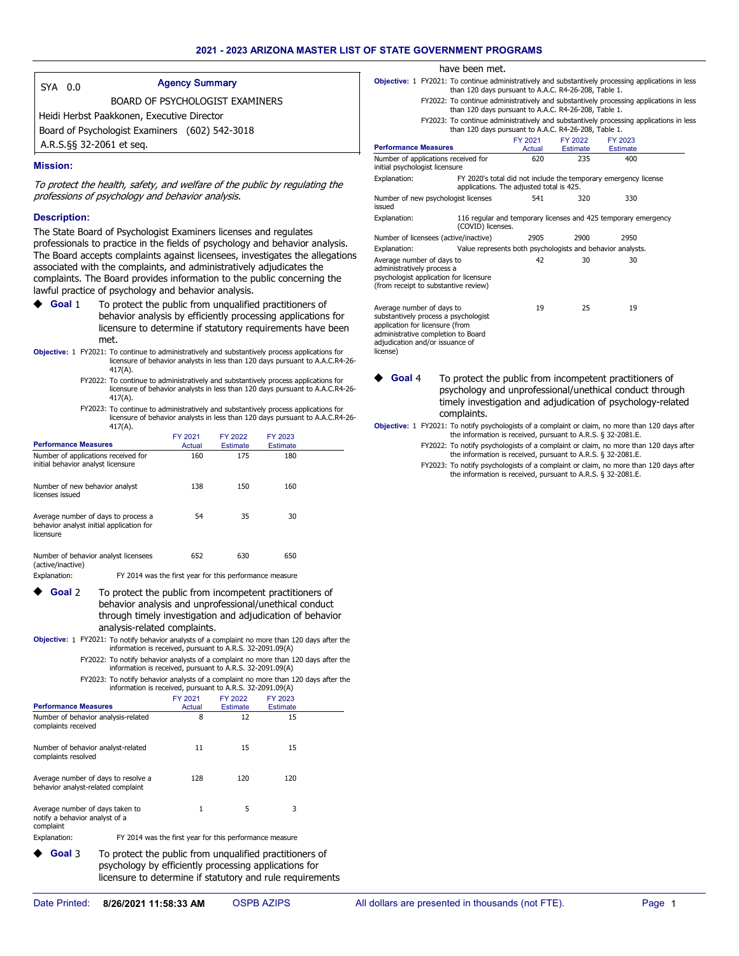| SYA 0.0 |                                                | <b>Agency Summary</b>                  |
|---------|------------------------------------------------|----------------------------------------|
|         |                                                | <b>BOARD OF PSYCHOLOGIST EXAMINERS</b> |
|         | Heidi Herbst Paakkonen, Executive Director     |                                        |
|         | Board of Psychologist Examiners (602) 542-3018 |                                        |
|         | A.R.S.§§ 32-2061 et seq.                       |                                        |

#### **Mission:**

To protect the health, safety, and welfare of the public by regulating the professions of psychology and behavior analysis.

## **Description:**

The State Board of Psychologist Examiners licenses and regulates professionals to practice in the fields of psychology and behavior analysis. The Board accepts complaints against licensees, investigates the allegations associated with the complaints, and administratively adjudicates the complaints. The Board provides information to the public concerning the lawful practice of psychology and behavior analysis.

- To protect the public from unqualified practitioners of behavior analysis by efficiently processing applications for licensure to determine if statutory requirements have been met. **Goal** 1
- **Objective:** 1 FY2021: To continue to administratively and substantively process applications for licensure of behavior analysts in less than 120 days pursuant to A.A.C.R4-26- 417(A).
	- FY2022: To continue to administratively and substantively process applications for licensure of behavior analysts in less than 120 days pursuant to A.A.C.R4-26- 417(A).

FY2023: To continue to administratively and substantively process applications for licensure of behavior analysts in less than 120 days pursuant to A.A.C.R4-26- 417(A).

| <b>Performance Measures</b>                                                                  |                                                         | FY 2021<br>Actual | FY 2022<br>Estimate | FY 2023<br>Estimate |  |
|----------------------------------------------------------------------------------------------|---------------------------------------------------------|-------------------|---------------------|---------------------|--|
| Number of applications received for<br>initial behavior analyst licensure                    |                                                         | 160               | 175                 | 180                 |  |
| Number of new behavior analyst<br>licenses issued                                            |                                                         | 138               | 150                 | 160                 |  |
| Average number of days to process a<br>behavior analyst initial application for<br>licensure |                                                         | 54                | 35                  | 30                  |  |
| Number of behavior analyst licensees<br>(active/inactive)                                    |                                                         | 652               | 630                 | 650                 |  |
| Explanation:                                                                                 | FY 2014 was the first year for this performance measure |                   |                     |                     |  |

- To protect the public from incompetent practitioners of behavior analysis and unprofessional/unethical conduct through timely investigation and adjudication of behavior analysis-related complaints. **Goal** 2
- Objective: 1 FY2021: To notify behavior analysts of a complaint no more than 120 days after the information is received, pursuant to A.R.S. 32-2091.09(A)
	- FY2022: To notify behavior analysts of a complaint no more than 120 days after the information is received, pursuant to A.R.S. 32-2091.09(A)

FY2023: To notify behavior analysts of a complaint no more than 120 days after the information is received, pursuant to A.R.S. 32-2091.09(A) FY 2021 FY 2022 FY 2023

licensure to determine if statutory and rule requirements

| <b>Performance Measures</b>                                                    |                                                                                                                  | Actual                                                  | <b>Estimate</b> | <b>Estimate</b> |  |
|--------------------------------------------------------------------------------|------------------------------------------------------------------------------------------------------------------|---------------------------------------------------------|-----------------|-----------------|--|
| Number of behavior analysis-related<br>complaints received                     |                                                                                                                  | 8                                                       | 12              | 15              |  |
| Number of behavior analyst-related<br>complaints resolved                      |                                                                                                                  | 11                                                      | 15              | 15              |  |
| Average number of days to resolve a<br>behavior analyst-related complaint      |                                                                                                                  | 128                                                     | 120             | 120             |  |
| Average number of days taken to<br>notify a behavior analyst of a<br>complaint |                                                                                                                  | 1                                                       | 5               | 3               |  |
| Explanation:                                                                   |                                                                                                                  | FY 2014 was the first year for this performance measure |                 |                 |  |
| Goal 3                                                                         | To protect the public from unqualified practitioners of<br>psychology by efficiently processing applications for |                                                         |                 |                 |  |

| have been met.                                                                                                                            |                                                                                                             |          |                 |  |
|-------------------------------------------------------------------------------------------------------------------------------------------|-------------------------------------------------------------------------------------------------------------|----------|-----------------|--|
| <b>Objective:</b> 1 FY2021: To continue administratively and substantively processing applications in less                                | than 120 days pursuant to A.A.C. R4-26-208, Table 1.                                                        |          |                 |  |
| FY2022: To continue administratively and substantively processing applications in less                                                    | than 120 days pursuant to A.A.C. R4-26-208, Table 1.                                                        |          |                 |  |
| FY2023: To continue administratively and substantively processing applications in less                                                    | than 120 days pursuant to A.A.C. R4-26-208, Table 1.                                                        |          |                 |  |
|                                                                                                                                           | FY 2021                                                                                                     | FY 2022  | FY 2023         |  |
| <b>Performance Measures</b>                                                                                                               | Actual                                                                                                      | Estimate | <b>Estimate</b> |  |
| Number of applications received for<br>initial psychologist licensure                                                                     | 620                                                                                                         | 235      | 400             |  |
| Explanation:                                                                                                                              | FY 2020's total did not include the temporary emergency license<br>applications. The adjusted total is 425. |          |                 |  |
| Number of new psychologist licenses<br>issued                                                                                             | 541                                                                                                         | 320      | 330             |  |
| Explanation:<br>(COVID) licenses.                                                                                                         | 116 regular and temporary licenses and 425 temporary emergency                                              |          |                 |  |
| Number of licensees (active/inactive)                                                                                                     | 2905                                                                                                        | 2900     | 2950            |  |
| Explanation:                                                                                                                              | Value represents both psychologists and behavior analysts.                                                  |          |                 |  |
| Average number of days to<br>administratively process a<br>psychologist application for licensure<br>(from receipt to substantive review) | 42                                                                                                          | 30       | 30              |  |
| Average number of days to                                                                                                                 | 19                                                                                                          | 25       | 19              |  |

Average number of days to 19 substantively process a psychologist application for licensure (from administrative completion to Board adjudication and/or issuance of license)

To protect the public from incompetent practitioners of psychology and unprofessional/unethical conduct through timely investigation and adjudication of psychology-related complaints.  $\triangleleft$  Goal<sup>4</sup>

#### Objective: 1 FY2021: To notify psychologists of a complaint or claim, no more than 120 days after the information is received, pursuant to A.R.S. § 32-2081.E.

- FY2022: To notify psychologists of a complaint or claim, no more than 120 days after the information is received, pursuant to A.R.S. § 32-2081.E.
	- FY2023: To notify psychologists of a complaint or claim, no more than 120 days after the information is received, pursuant to A.R.S. § 32-2081.E.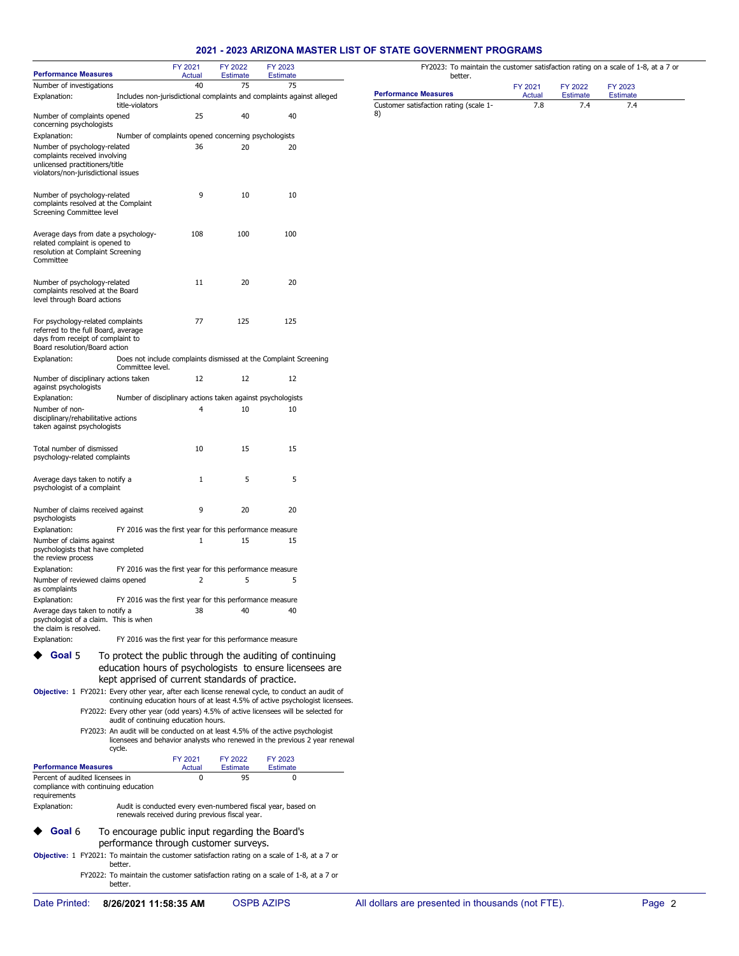## **2021 - 2023 ARIZONA MASTER LIST OF STATE GOVERNMENT PROGRAMS**

|                                                                                                                                        |                                                            | FY 2021      | FY 2022         | FY 2023                                                                                                                                                                                                                                            |  |
|----------------------------------------------------------------------------------------------------------------------------------------|------------------------------------------------------------|--------------|-----------------|----------------------------------------------------------------------------------------------------------------------------------------------------------------------------------------------------------------------------------------------------|--|
| <b>Performance Measures</b>                                                                                                            |                                                            | Actual       | <b>Estimate</b> | <b>Estimate</b>                                                                                                                                                                                                                                    |  |
| Number of investigations                                                                                                               |                                                            | 40           | 75              | 75                                                                                                                                                                                                                                                 |  |
| Explanation:                                                                                                                           | title-violators                                            |              |                 | Includes non-jurisdictional complaints and complaints against alleged                                                                                                                                                                              |  |
| Number of complaints opened<br>concerning psychologists                                                                                |                                                            | 25           | 40              | 40                                                                                                                                                                                                                                                 |  |
| Explanation:                                                                                                                           | Number of complaints opened concerning psychologists       |              |                 |                                                                                                                                                                                                                                                    |  |
| Number of psychology-related<br>complaints received involving<br>unlicensed practitioners/title<br>violators/non-jurisdictional issues |                                                            | 36           | 20              | 20                                                                                                                                                                                                                                                 |  |
| Number of psychology-related<br>complaints resolved at the Complaint<br>Screening Committee level                                      |                                                            | 9            | 10              | 10                                                                                                                                                                                                                                                 |  |
| Average days from date a psychology-<br>related complaint is opened to<br>resolution at Complaint Screening<br>Committee               |                                                            | 108          | 100             | 100                                                                                                                                                                                                                                                |  |
| Number of psychology-related<br>complaints resolved at the Board<br>level through Board actions                                        |                                                            | 11           | 20              | 20                                                                                                                                                                                                                                                 |  |
| For psychology-related complaints<br>referred to the full Board, average<br>days from receipt of complaint to                          |                                                            | 77           | 125             | 125                                                                                                                                                                                                                                                |  |
| Board resolution/Board action<br>Explanation:                                                                                          | Committee level.                                           |              |                 | Does not include complaints dismissed at the Complaint Screening                                                                                                                                                                                   |  |
| Number of disciplinary actions taken<br>against psychologists                                                                          |                                                            | 12           | 12              | 12                                                                                                                                                                                                                                                 |  |
| Explanation:                                                                                                                           | Number of disciplinary actions taken against psychologists |              |                 |                                                                                                                                                                                                                                                    |  |
| Number of non-<br>disciplinary/rehabilitative actions<br>taken against psychologists                                                   |                                                            | 4            | 10              | 10                                                                                                                                                                                                                                                 |  |
| Total number of dismissed<br>psychology-related complaints                                                                             |                                                            | 10           | 15              | 15                                                                                                                                                                                                                                                 |  |
| Average days taken to notify a<br>psychologist of a complaint                                                                          |                                                            | $\mathbf{1}$ | 5               | 5                                                                                                                                                                                                                                                  |  |
| Number of claims received against<br>psychologists                                                                                     |                                                            | 9            | 20              | 20                                                                                                                                                                                                                                                 |  |
| Explanation:<br>Number of claims against<br>psychologists that have completed                                                          | FY 2016 was the first year for this performance measure    | 1            | 15              | 15                                                                                                                                                                                                                                                 |  |
| the review process<br>Explanation:                                                                                                     | FY 2016 was the first year for this performance measure    |              |                 |                                                                                                                                                                                                                                                    |  |
| Number of reviewed claims opened<br>as complaints                                                                                      |                                                            | 2            | 5               | 5                                                                                                                                                                                                                                                  |  |
| Explanation:                                                                                                                           | FY 2016 was the first year for this performance measure    |              |                 |                                                                                                                                                                                                                                                    |  |
| Average days taken to notify a<br>psychologist of a claim. This is when                                                                |                                                            | 38           | 40              | 40                                                                                                                                                                                                                                                 |  |
| the claim is resolved.<br>Explanation:                                                                                                 | FY 2016 was the first year for this performance measure    |              |                 |                                                                                                                                                                                                                                                    |  |
| Goal 5                                                                                                                                 | kept apprised of current standards of practice.            |              |                 | To protect the public through the auditing of continuing<br>education hours of psychologists to ensure licensees are                                                                                                                               |  |
| Objective: 1 FY2021: Every other year, after each license renewal cycle, to conduct an audit of                                        |                                                            |              |                 | continuing education hours of at least 4.5% of active psychologist licensees.                                                                                                                                                                      |  |
|                                                                                                                                        | audit of continuing education hours.                       |              |                 | FY2022: Every other year (odd years) 4.5% of active licensees will be selected for<br>FY2023: An audit will be conducted on at least 4.5% of the active psychologist<br>licensees and behavior analysts who renewed in the previous 2 year renewal |  |
|                                                                                                                                        | cycle.                                                     | FY 2021      | FY 2022         | FY 2023                                                                                                                                                                                                                                            |  |
| <b>Performance Measures</b><br>Percent of audited licensees in<br>compliance with continuing education                                 |                                                            | Actual<br>0  | Estimate<br>95  | <b>Estimate</b><br>0                                                                                                                                                                                                                               |  |
| requirements<br>Explanation:                                                                                                           | renewals received during previous fiscal year.             |              |                 | Audit is conducted every even-numbered fiscal year, based on                                                                                                                                                                                       |  |
| Goal 6                                                                                                                                 | To encourage public input regarding the Board's            |              |                 |                                                                                                                                                                                                                                                    |  |
| Objective: 1 FY2021: To maintain the customer satisfaction rating on a scale of 1-8, at a 7 or                                         | performance through customer surveys.<br>better.           |              |                 |                                                                                                                                                                                                                                                    |  |
|                                                                                                                                        | better.                                                    |              |                 | FY2022: To maintain the customer satisfaction rating on a scale of 1-8, at a 7 or                                                                                                                                                                  |  |

| FY2023: To maintain the customer satisfaction rating on a scale of 1-8, at a 7 or |  |  |
|-----------------------------------------------------------------------------------|--|--|
| better.                                                                           |  |  |

| .                                      |         |          |          |  |
|----------------------------------------|---------|----------|----------|--|
|                                        | FY 2021 | FY 2022  | FY 2023  |  |
| <b>Performance Measures</b>            | Actual  | Estimate | Estimate |  |
| Customer satisfaction rating (scale 1- | 7.8     | 7.4      | 7.4      |  |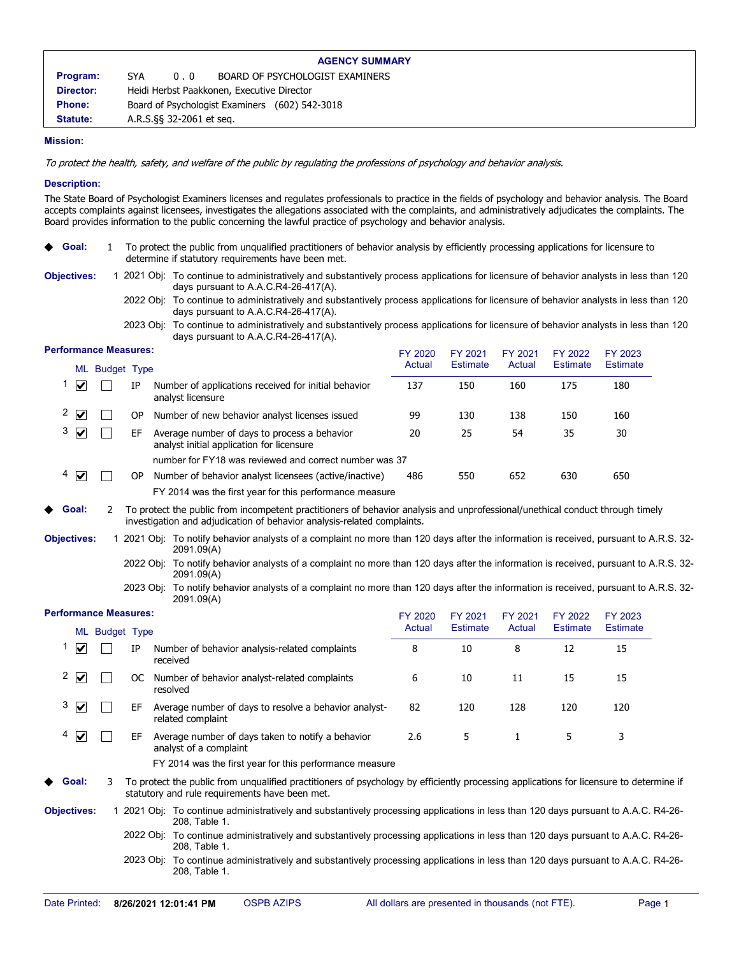|                 | <b>AGENCY SUMMARY</b>    |                                                |  |  |
|-----------------|--------------------------|------------------------------------------------|--|--|
| Program:        | SYA.<br>0.0              | BOARD OF PSYCHOLOGIST EXAMINERS                |  |  |
| Director:       |                          | Heidi Herbst Paakkonen, Executive Director     |  |  |
| <b>Phone:</b>   |                          | Board of Psychologist Examiners (602) 542-3018 |  |  |
| <b>Statute:</b> | A.R.S. § 32-2061 et seq. |                                                |  |  |

## **Mission:**

To protect the health, safety, and welfare of the public by regulating the professions of psychology and behavior analysis.

#### **Description:**

The State Board of Psychologist Examiners licenses and regulates professionals to practice in the fields of psychology and behavior analysis. The Board accepts complaints against licensees, investigates the allegations associated with the complaints, and administratively adjudicates the complaints. The Board provides information to the public concerning the lawful practice of psychology and behavior analysis.

|                              |     | To protect the public from unqualified practitioners of behavior analysis by efficiently processing applications for licensure to<br>determine if statutory requirements have been met.                  |         |                 |              |                 |                 |  |
|------------------------------|-----|----------------------------------------------------------------------------------------------------------------------------------------------------------------------------------------------------------|---------|-----------------|--------------|-----------------|-----------------|--|
| <b>Objectives:</b>           |     | 1 2021 Obj: To continue to administratively and substantively process applications for licensure of behavior analysts in less than 120<br>days pursuant to A.A.C.R4-26-417(A).                           |         |                 |              |                 |                 |  |
|                              |     | 2022 Obj: To continue to administratively and substantively process applications for licensure of behavior analysts in less than 120<br>days pursuant to A.A.C.R4-26-417(A).                             |         |                 |              |                 |                 |  |
|                              |     | 2023 Obj: To continue to administratively and substantively process applications for licensure of behavior analysts in less than 120<br>days pursuant to A.A.C.R4-26-417(A).                             |         |                 |              |                 |                 |  |
| <b>Performance Measures:</b> |     |                                                                                                                                                                                                          | FY 2020 | FY 2021         | FY 2021      | FY 2022         | FY 2023         |  |
| ML Budget Type               |     |                                                                                                                                                                                                          | Actual  | <b>Estimate</b> | Actual       | <b>Estimate</b> | <b>Estimate</b> |  |
| 1<br>☑                       | IP  | Number of applications received for initial behavior<br>analyst licensure                                                                                                                                | 137     | 150             | 160          | 175             | 180             |  |
| 2<br>$\blacktriangledown$    | 0P  | Number of new behavior analyst licenses issued                                                                                                                                                           | 99      | 130             | 138          | 150             | 160             |  |
| 3<br>☑                       | EF  | Average number of days to process a behavior<br>analyst initial application for licensure                                                                                                                | 20      | 25              | 54           | 35              | 30              |  |
|                              |     | number for FY18 was reviewed and correct number was 37                                                                                                                                                   |         |                 |              |                 |                 |  |
| 4<br>$\blacktriangledown$    | OP. | Number of behavior analyst licensees (active/inactive)                                                                                                                                                   | 486     | 550             | 652          | 630             | 650             |  |
|                              |     | FY 2014 was the first year for this performance measure                                                                                                                                                  |         |                 |              |                 |                 |  |
| Goal:<br>2                   |     | To protect the public from incompetent practitioners of behavior analysis and unprofessional/unethical conduct through timely<br>investigation and adjudication of behavior analysis-related complaints. |         |                 |              |                 |                 |  |
| <b>Objectives:</b>           |     | 1 2021 Obj: To notify behavior analysts of a complaint no more than 120 days after the information is received, pursuant to A.R.S. 32-<br>2091.09(A)                                                     |         |                 |              |                 |                 |  |
|                              |     | 2022 Obj: To notify behavior analysts of a complaint no more than 120 days after the information is received, pursuant to A.R.S. 32-                                                                     |         |                 |              |                 |                 |  |
|                              |     | 2091.09(A)                                                                                                                                                                                               |         |                 |              |                 |                 |  |
|                              |     | 2023 Obj: To notify behavior analysts of a complaint no more than 120 days after the information is received, pursuant to A.R.S. 32-<br>2091.09(A)                                                       |         |                 |              |                 |                 |  |
| <b>Performance Measures:</b> |     |                                                                                                                                                                                                          | FY 2020 | FY 2021         | FY 2021      | FY 2022         | FY 2023         |  |
| ML Budget Type               |     |                                                                                                                                                                                                          | Actual  | <b>Estimate</b> | Actual       | <b>Estimate</b> | <b>Estimate</b> |  |
| 1<br>☑                       | IP  | Number of behavior analysis-related complaints<br>received                                                                                                                                               | 8       | 10              | 8            | 12              | 15              |  |
| 2<br>⊻                       |     | OC Number of behavior analyst-related complaints<br>resolved                                                                                                                                             | 6       | 10              | 11           | 15              | 15              |  |
| 3<br>M                       | EF  | Average number of days to resolve a behavior analyst-<br>related complaint                                                                                                                               | 82      | 120             | 128          | 120             | 120             |  |
| 4<br>☑                       | EF  | Average number of days taken to notify a behavior<br>analyst of a complaint                                                                                                                              | 2.6     | 5               | $\mathbf{1}$ | 5               | 3               |  |
|                              |     | FY 2014 was the first year for this performance measure                                                                                                                                                  |         |                 |              |                 |                 |  |
| Goal:                        |     | To protect the public from unqualified practitioners of psychology by efficiently processing applications for licensure to determine if<br>statutory and rule requirements have been met.                |         |                 |              |                 |                 |  |
| <b>Objectives:</b>           |     | 1 2021 Obj: To continue administratively and substantively processing applications in less than 120 days pursuant to A.A.C. R4-26-<br>208, Table 1.                                                      |         |                 |              |                 |                 |  |
|                              |     | 2022 Obj: To continue administratively and substantively processing applications in less than 120 days pursuant to A.A.C. R4-26-<br>208, Table 1.                                                        |         |                 |              |                 |                 |  |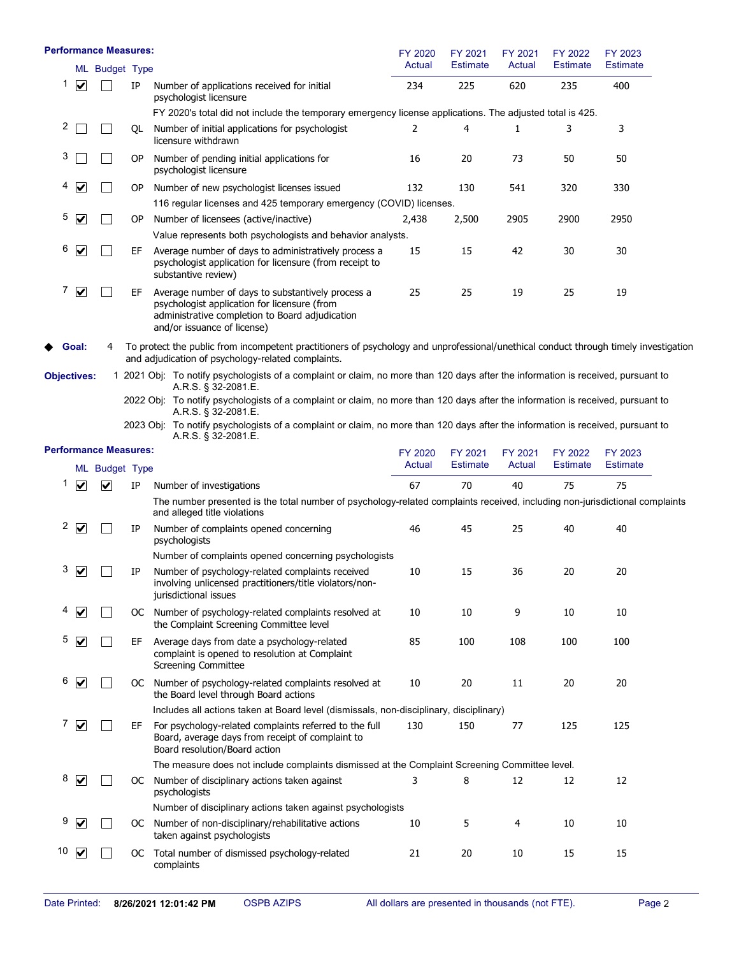|                    |                      | <b>Performance Measures:</b> |           |                                                                                                                                                                                            | FY 2020<br>Actual | FY 2021<br><b>Estimate</b> | FY 2021<br>Actual | FY 2022<br><b>Estimate</b> | FY 2023<br><b>Estimate</b> |
|--------------------|----------------------|------------------------------|-----------|--------------------------------------------------------------------------------------------------------------------------------------------------------------------------------------------|-------------------|----------------------------|-------------------|----------------------------|----------------------------|
|                    |                      | ML Budget Type               |           |                                                                                                                                                                                            |                   |                            |                   |                            |                            |
| 1                  | $\blacktriangledown$ |                              | IP        | Number of applications received for initial<br>psychologist licensure                                                                                                                      | 234               | 225                        | 620               | 235                        | 400                        |
|                    |                      |                              |           | FY 2020's total did not include the temporary emergency license applications. The adjusted total is 425.                                                                                   |                   |                            |                   |                            |                            |
| 2                  |                      |                              | QL        | Number of initial applications for psychologist<br>licensure withdrawn                                                                                                                     | 2                 | 4                          | 1                 | 3                          | 3                          |
| 3                  |                      |                              | 0P        | Number of pending initial applications for<br>psychologist licensure                                                                                                                       | 16                | 20                         | 73                | 50                         | 50                         |
|                    | $\blacktriangledown$ |                              | <b>OP</b> | Number of new psychologist licenses issued                                                                                                                                                 | 132               | 130                        | 541               | 320                        | 330                        |
|                    |                      |                              |           | 116 regular licenses and 425 temporary emergency (COVID) licenses.                                                                                                                         |                   |                            |                   |                            |                            |
| 5                  | ⊻                    |                              | 0P        | Number of licensees (active/inactive)                                                                                                                                                      | 2,438             | 2,500                      | 2905              | 2900                       | 2950                       |
|                    |                      |                              |           | Value represents both psychologists and behavior analysts.                                                                                                                                 |                   |                            |                   |                            |                            |
| 6                  | ☑                    |                              | EF        | Average number of days to administratively process a<br>psychologist application for licensure (from receipt to<br>substantive review)                                                     | 15                | 15                         | 42                | 30                         | 30                         |
| 7                  | $\blacktriangledown$ |                              | EF        | Average number of days to substantively process a<br>psychologist application for licensure (from<br>administrative completion to Board adjudication<br>and/or issuance of license)        | 25                | 25                         | 19                | 25                         | 19                         |
|                    | Goal:                | 4                            |           | To protect the public from incompetent practitioners of psychology and unprofessional/unethical conduct through timely investigation<br>and adjudication of psychology-related complaints. |                   |                            |                   |                            |                            |
| <b>Objectives:</b> |                      |                              |           | 1 2021 Obj: To notify psychologists of a complaint or claim, no more than 120 days after the information is received, pursuant to<br>A.R.S. § 32-2081.E.                                   |                   |                            |                   |                            |                            |
|                    |                      |                              |           | 2022 Obj: To notify psychologists of a complaint or claim, no more than 120 days after the information is received, pursuant to<br>A.R.S. § 32-2081.E.                                     |                   |                            |                   |                            |                            |
|                    |                      |                              |           | 2023 Obj: To notify psychologists of a complaint or claim, no more than 120 days after the information is received, pursuant to<br>A.R.S. § 32-2081.E.                                     |                   |                            |                   |                            |                            |
|                    |                      | <b>Performance Measures:</b> |           |                                                                                                                                                                                            | FY 2020<br>Actual | FY 2021<br><b>Estimate</b> | FY 2021<br>Actual | FY 2022<br><b>Estimate</b> | FY 2023<br><b>Estimate</b> |
|                    |                      | ML Budget Type               |           |                                                                                                                                                                                            |                   |                            |                   |                            |                            |
| 1                  | $\blacktriangledown$ | ☑                            | IP        | Number of investigations                                                                                                                                                                   | 67                | 70                         | 40                | 75                         | 75                         |
|                    |                      |                              |           | The number presented is the total number of psychology-related complaints received, including non-jurisdictional complaints<br>and alleged title violations                                |                   |                            |                   |                            |                            |
| 2                  | $\blacktriangledown$ |                              | IP        | Number of complaints opened concerning<br>psychologists                                                                                                                                    | 46                | 45                         | 25                | 40                         | 40                         |
|                    |                      |                              |           | Number of complaints opened concerning psychologists                                                                                                                                       |                   |                            |                   |                            |                            |
| З                  | ⊻                    |                              | IP        | Number of psychology-related complaints received<br>involving unlicensed practitioners/title violators/non-<br>jurisdictional issues                                                       | 10                | 15                         | 36                | 20                         | 20                         |
| 4                  | V                    |                              |           | OC Number of psychology-related complaints resolved at<br>the Complaint Screening Committee level                                                                                          | 10                | 10                         | 9                 | 10                         | 10                         |
| 5                  | ☑                    |                              | EF        | Average days from date a psychology-related<br>complaint is opened to resolution at Complaint<br><b>Screening Committee</b>                                                                | 85                | 100                        | 108               | 100                        | 100                        |
| 6                  | $\blacktriangledown$ |                              |           | OC Number of psychology-related complaints resolved at<br>the Board level through Board actions                                                                                            | 10                | 20                         | 11                | 20                         | 20                         |
|                    |                      |                              |           | Includes all actions taken at Board level (dismissals, non-disciplinary, disciplinary)                                                                                                     |                   |                            |                   |                            |                            |
| 7                  | $\blacktriangledown$ |                              | EF        | For psychology-related complaints referred to the full<br>Board, average days from receipt of complaint to<br>Board resolution/Board action                                                | 130               | 150                        | 77                | 125                        | 125                        |
|                    |                      |                              |           | The measure does not include complaints dismissed at the Complaint Screening Committee level.                                                                                              |                   |                            |                   |                            |                            |
| 8                  | $\blacktriangledown$ |                              | OC        | Number of disciplinary actions taken against<br>psychologists                                                                                                                              | 3                 | 8                          | 12                | 12                         | 12                         |
|                    |                      |                              |           | Number of disciplinary actions taken against psychologists                                                                                                                                 |                   |                            |                   |                            |                            |
| 9                  | ⊻                    |                              |           | OC Number of non-disciplinary/rehabilitative actions<br>taken against psychologists                                                                                                        | 10                | 5                          | 4                 | 10                         | 10                         |
| 10                 | $\blacktriangledown$ |                              |           | OC Total number of dismissed psychology-related<br>complaints                                                                                                                              | 21                | 20                         | 10                | 15                         | 15                         |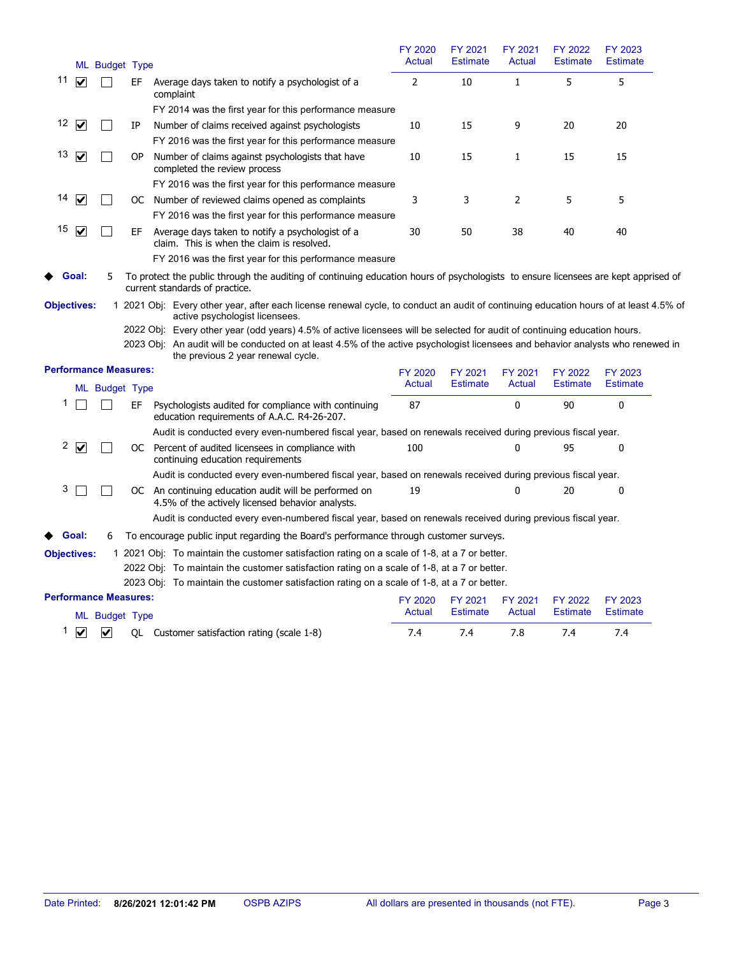| ML Budget Type                                    |                                                                                                                                                                         | FY 2020<br>Actual | FY 2021<br><b>Estimate</b> | FY 2021<br>Actual | FY 2022<br><b>Estimate</b> | FY 2023<br><b>Estimate</b> |  |
|---------------------------------------------------|-------------------------------------------------------------------------------------------------------------------------------------------------------------------------|-------------------|----------------------------|-------------------|----------------------------|----------------------------|--|
| 11<br>$\blacktriangledown$<br>EF                  | Average days taken to notify a psychologist of a<br>complaint                                                                                                           | $\overline{2}$    | 10                         | $\mathbf{1}$      | 5                          | 5                          |  |
|                                                   | FY 2014 was the first year for this performance measure                                                                                                                 |                   |                            |                   |                            |                            |  |
| 12<br>M<br>ΙP                                     | Number of claims received against psychologists                                                                                                                         | 10                | 15                         | 9                 | 20                         | 20                         |  |
|                                                   | FY 2016 was the first year for this performance measure                                                                                                                 |                   |                            |                   |                            |                            |  |
| 13<br>M<br>ОP                                     | Number of claims against psychologists that have<br>completed the review process                                                                                        | 10                | 15                         | 1                 | 15                         | 15                         |  |
|                                                   | FY 2016 was the first year for this performance measure                                                                                                                 |                   |                            |                   |                            |                            |  |
| 14<br>$\blacktriangledown$                        | OC Number of reviewed claims opened as complaints                                                                                                                       | 3                 | 3                          | 2                 | 5                          | 5                          |  |
|                                                   | FY 2016 was the first year for this performance measure                                                                                                                 |                   |                            |                   |                            |                            |  |
| 15<br>$\overline{\mathsf{v}}$<br>L<br>EF          | Average days taken to notify a psychologist of a<br>claim. This is when the claim is resolved.                                                                          | 30                | 50                         | 38                | 40                         | 40                         |  |
|                                                   | FY 2016 was the first year for this performance measure                                                                                                                 |                   |                            |                   |                            |                            |  |
| Goal:<br>5.                                       | To protect the public through the auditing of continuing education hours of psychologists to ensure licensees are kept apprised of<br>current standards of practice.    |                   |                            |                   |                            |                            |  |
| <b>Objectives:</b>                                | 1 2021 Obj: Every other year, after each license renewal cycle, to conduct an audit of continuing education hours of at least 4.5% of<br>active psychologist licensees. |                   |                            |                   |                            |                            |  |
|                                                   | 2022 Obj: Every other year (odd years) 4.5% of active licensees will be selected for audit of continuing education hours.                                               |                   |                            |                   |                            |                            |  |
|                                                   | 2023 Obj: An audit will be conducted on at least 4.5% of the active psychologist licensees and behavior analysts who renewed in<br>the previous 2 year renewal cycle.   |                   |                            |                   |                            |                            |  |
| <b>Performance Measures:</b>                      |                                                                                                                                                                         | FY 2020           | FY 2021                    | FY 2021           | FY 2022                    | FY 2023                    |  |
| ML Budget Type                                    |                                                                                                                                                                         | Actual            | <b>Estimate</b>            | Actual            | <b>Estimate</b>            | <b>Estimate</b>            |  |
| 1<br>EF                                           | Psychologists audited for compliance with continuing<br>education requirements of A.A.C. R4-26-207.                                                                     | 87                |                            | 0                 | 90                         | 0                          |  |
|                                                   | Audit is conducted every even-numbered fiscal year, based on renewals received during previous fiscal year.                                                             |                   |                            |                   |                            |                            |  |
| 2<br>$\blacktriangledown$                         | OC Percent of audited licensees in compliance with<br>continuing education requirements                                                                                 | 100               |                            | 0                 | 95                         | $\mathbf{0}$               |  |
|                                                   | Audit is conducted every even-numbered fiscal year, based on renewals received during previous fiscal year.                                                             |                   |                            |                   |                            |                            |  |
| 3                                                 | OC An continuing education audit will be performed on<br>4.5% of the actively licensed behavior analysts.                                                               | 19                |                            | 0                 | 20                         | 0                          |  |
|                                                   | Audit is conducted every even-numbered fiscal year, based on renewals received during previous fiscal year.                                                             |                   |                            |                   |                            |                            |  |
| Goal:<br>6                                        | To encourage public input regarding the Board's performance through customer surveys.                                                                                   |                   |                            |                   |                            |                            |  |
| <b>Objectives:</b>                                | 1 2021 Obj: To maintain the customer satisfaction rating on a scale of 1-8, at a 7 or better.                                                                           |                   |                            |                   |                            |                            |  |
|                                                   | 2022 Obj: To maintain the customer satisfaction rating on a scale of 1-8, at a 7 or better.                                                                             |                   |                            |                   |                            |                            |  |
|                                                   | 2023 Obj: To maintain the customer satisfaction rating on a scale of 1-8, at a 7 or better.                                                                             |                   |                            |                   |                            |                            |  |
| <b>Performance Measures:</b><br>ML Budget Type    |                                                                                                                                                                         | FY 2020<br>Actual | FY 2021<br><b>Estimate</b> | FY 2021<br>Actual | FY 2022<br><b>Estimate</b> | FY 2023<br><b>Estimate</b> |  |
| 1<br>$\blacktriangledown$<br>$\blacktriangledown$ | QL Customer satisfaction rating (scale 1-8)                                                                                                                             | 7.4               | 7.4                        | 7.8               | 7.4                        | 7.4                        |  |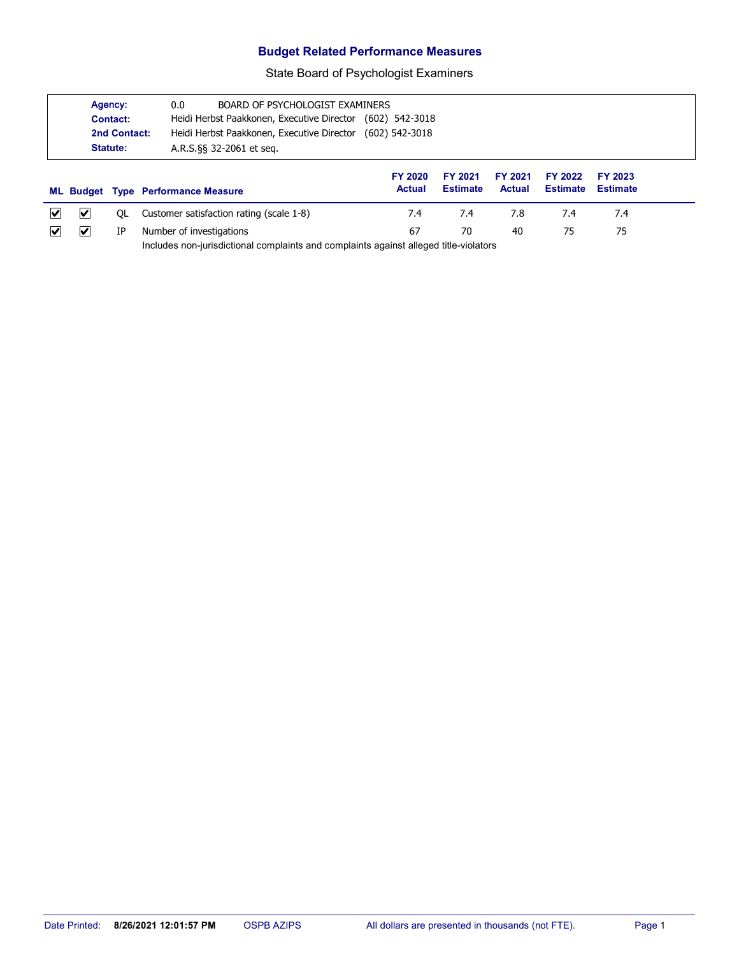## **Budget Related Performance Measures**

State Board of Psychologist Examiners

|   | Agency:<br>0.0<br>BOARD OF PSYCHOLOGIST EXAMINERS<br>Heidi Herbst Paakkonen, Executive Director<br>Contact:<br>Heidi Herbst Paakkonen, Executive Director<br>2nd Contact:<br>Statute:<br>A.R.S. §§ 32-2061 et seq. |    | $(602)$ 542-3018<br>(602) 542-3018        |                                 |                                   |                          |                            |                                   |  |
|---|--------------------------------------------------------------------------------------------------------------------------------------------------------------------------------------------------------------------|----|-------------------------------------------|---------------------------------|-----------------------------------|--------------------------|----------------------------|-----------------------------------|--|
|   |                                                                                                                                                                                                                    |    | <b>ML Budget Type Performance Measure</b> | <b>FY 2020</b><br><b>Actual</b> | <b>FY 2021</b><br><b>Estimate</b> | FY 2021<br><b>Actual</b> | FY 2022<br><b>Estimate</b> | <b>FY 2023</b><br><b>Estimate</b> |  |
|   |                                                                                                                                                                                                                    |    |                                           |                                 |                                   |                          |                            |                                   |  |
| M | ⊻                                                                                                                                                                                                                  | OL | Customer satisfaction rating (scale 1-8)  | 7.4                             | 7.4                               | 7.8                      | 7.4                        | 7.4                               |  |

Includes non-jurisdictional complaints and complaints against alleged title-violators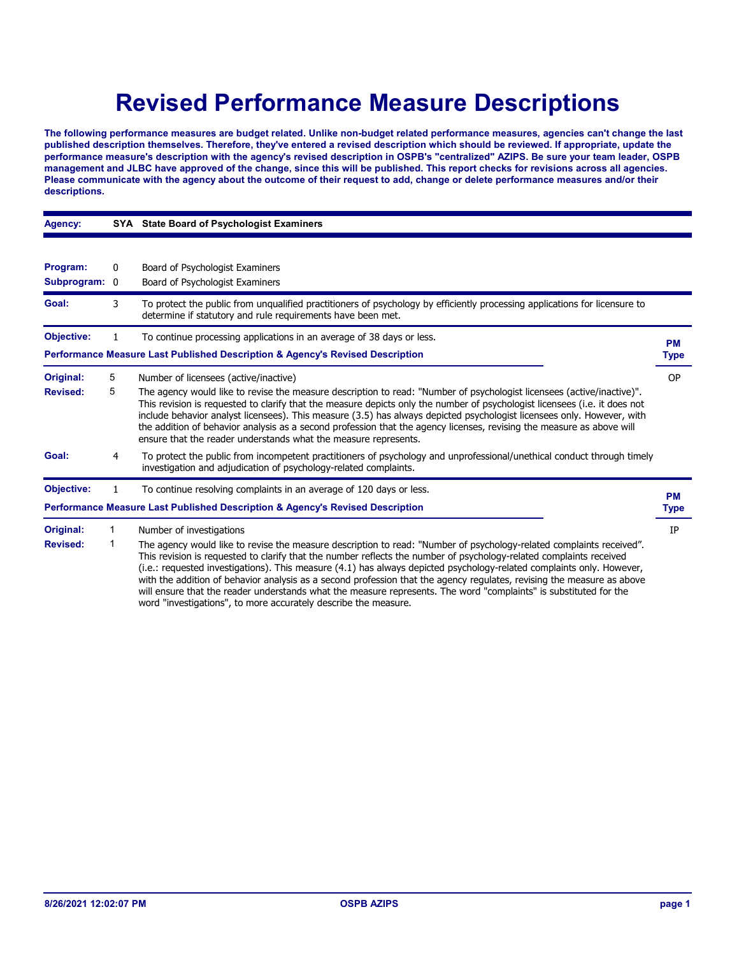# **Revised Performance Measure Descriptions**

**The following performance measures are budget related. Unlike non-budget related performance measures, agencies can't change the last published description themselves. Therefore, they've entered a revised description which should be reviewed. If appropriate, update the performance measure's description with the agency's revised description in OSPB's "centralized" AZIPS. Be sure your team leader, OSPB management and JLBC have approved of the change, since this will be published. This report checks for revisions across all agencies. Please communicate with the agency about the outcome of their request to add, change or delete performance measures and/or their descriptions.**

| Agency:                   |                                                                                                                                                                                                                                                                                                                                                                                                                                                                                                                                                                                                                                                                                             | SYA State Board of Psychologist Examiners                                                                                                                                                                                                                                                                                                                                                                                                                                                                                                                                  |           |
|---------------------------|---------------------------------------------------------------------------------------------------------------------------------------------------------------------------------------------------------------------------------------------------------------------------------------------------------------------------------------------------------------------------------------------------------------------------------------------------------------------------------------------------------------------------------------------------------------------------------------------------------------------------------------------------------------------------------------------|----------------------------------------------------------------------------------------------------------------------------------------------------------------------------------------------------------------------------------------------------------------------------------------------------------------------------------------------------------------------------------------------------------------------------------------------------------------------------------------------------------------------------------------------------------------------------|-----------|
|                           |                                                                                                                                                                                                                                                                                                                                                                                                                                                                                                                                                                                                                                                                                             |                                                                                                                                                                                                                                                                                                                                                                                                                                                                                                                                                                            |           |
| Program:<br>Subprogram: 0 | 0                                                                                                                                                                                                                                                                                                                                                                                                                                                                                                                                                                                                                                                                                           | Board of Psychologist Examiners<br>Board of Psychologist Examiners                                                                                                                                                                                                                                                                                                                                                                                                                                                                                                         |           |
| Goal:                     | 3                                                                                                                                                                                                                                                                                                                                                                                                                                                                                                                                                                                                                                                                                           | To protect the public from unqualified practitioners of psychology by efficiently processing applications for licensure to<br>determine if statutory and rule requirements have been met.                                                                                                                                                                                                                                                                                                                                                                                  |           |
| <b>Objective:</b>         |                                                                                                                                                                                                                                                                                                                                                                                                                                                                                                                                                                                                                                                                                             | To continue processing applications in an average of 38 days or less.                                                                                                                                                                                                                                                                                                                                                                                                                                                                                                      | <b>PM</b> |
|                           |                                                                                                                                                                                                                                                                                                                                                                                                                                                                                                                                                                                                                                                                                             | Performance Measure Last Published Description & Agency's Revised Description                                                                                                                                                                                                                                                                                                                                                                                                                                                                                              | Type      |
| Original:                 | 5                                                                                                                                                                                                                                                                                                                                                                                                                                                                                                                                                                                                                                                                                           | Number of licensees (active/inactive)                                                                                                                                                                                                                                                                                                                                                                                                                                                                                                                                      | <b>OP</b> |
| <b>Revised:</b>           | 5                                                                                                                                                                                                                                                                                                                                                                                                                                                                                                                                                                                                                                                                                           | The agency would like to revise the measure description to read: "Number of psychologist licensees (active/inactive)".<br>This revision is requested to clarify that the measure depicts only the number of psychologist licensees (i.e. it does not<br>include behavior analyst licensees). This measure (3.5) has always depicted psychologist licensees only. However, with<br>the addition of behavior analysis as a second profession that the agency licenses, revising the measure as above will<br>ensure that the reader understands what the measure represents. |           |
| Goal:                     | 4                                                                                                                                                                                                                                                                                                                                                                                                                                                                                                                                                                                                                                                                                           | To protect the public from incompetent practitioners of psychology and unprofessional/unethical conduct through timely<br>investigation and adjudication of psychology-related complaints.                                                                                                                                                                                                                                                                                                                                                                                 |           |
| <b>Objective:</b>         | 1                                                                                                                                                                                                                                                                                                                                                                                                                                                                                                                                                                                                                                                                                           | To continue resolving complaints in an average of 120 days or less.                                                                                                                                                                                                                                                                                                                                                                                                                                                                                                        | <b>PM</b> |
|                           |                                                                                                                                                                                                                                                                                                                                                                                                                                                                                                                                                                                                                                                                                             | Performance Measure Last Published Description & Agency's Revised Description                                                                                                                                                                                                                                                                                                                                                                                                                                                                                              | Type      |
| Original:                 | 1                                                                                                                                                                                                                                                                                                                                                                                                                                                                                                                                                                                                                                                                                           | Number of investigations                                                                                                                                                                                                                                                                                                                                                                                                                                                                                                                                                   | IP        |
| <b>Revised:</b>           | 1<br>The agency would like to revise the measure description to read: "Number of psychology-related complaints received".<br>This revision is requested to clarify that the number reflects the number of psychology-related complaints received<br>(i.e.: requested investigations). This measure (4.1) has always depicted psychology-related complaints only. However,<br>with the addition of behavior analysis as a second profession that the agency regulates, revising the measure as above<br>will ensure that the reader understands what the measure represents. The word "complaints" is substituted for the<br>word "investigations", to more accurately describe the measure. |                                                                                                                                                                                                                                                                                                                                                                                                                                                                                                                                                                            |           |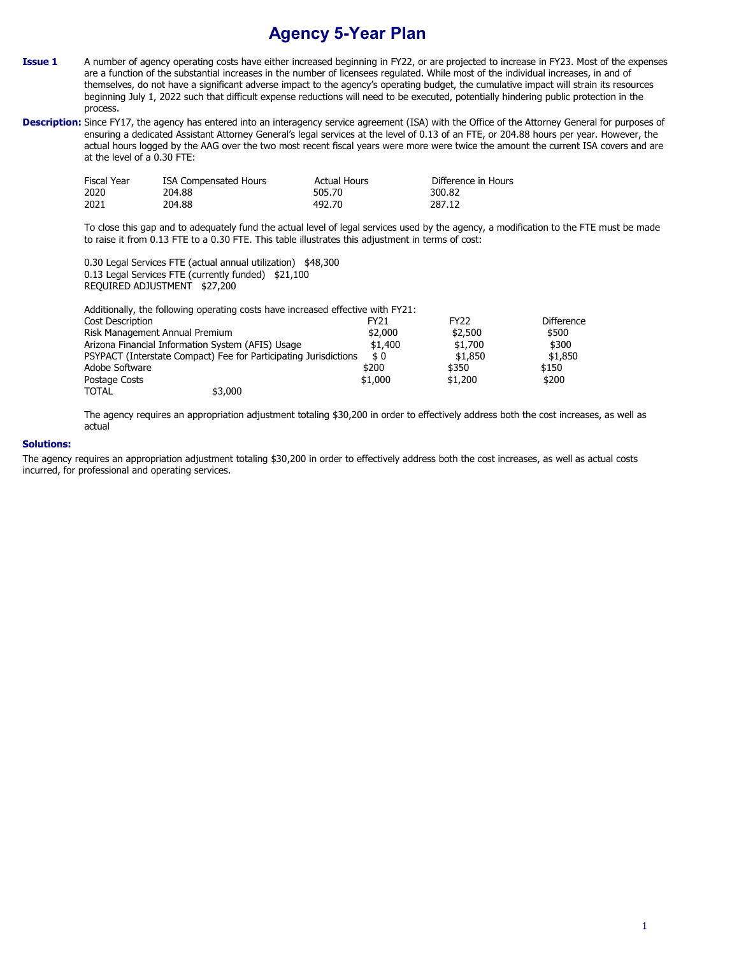## **Agency 5-Year Plan**

- **Issue 1** A number of agency operating costs have either increased beginning in FY22, or are projected to increase in FY23. Most of the expenses are a function of the substantial increases in the number of licensees regulated. While most of the individual increases, in and of themselves, do not have a significant adverse impact to the agency's operating budget, the cumulative impact will strain its resources beginning July 1, 2022 such that difficult expense reductions will need to be executed, potentially hindering public protection in the process.
- Description: Since FY17, the agency has entered into an interagency service agreement (ISA) with the Office of the Attorney General for purposes of ensuring a dedicated Assistant Attorney General's legal services at the level of 0.13 of an FTE, or 204.88 hours per year. However, the actual hours logged by the AAG over the two most recent fiscal years were more were twice the amount the current ISA covers and are at the level of a 0.30 FTE:

| <b>Fiscal Year</b> | ISA Compensated Hours | <b>Actual Hours</b> | Difference in Hours |
|--------------------|-----------------------|---------------------|---------------------|
| 2020               | 204.88                | 505.70              | 300.82              |
| 2021               | 204.88                | 492.70              | 287.12              |

To close this gap and to adequately fund the actual level of legal services used by the agency, a modification to the FTE must be made to raise it from 0.13 FTE to a 0.30 FTE. This table illustrates this adjustment in terms of cost:

0.30 Legal Services FTE (actual annual utilization) \$48,300 0.13 Legal Services FTE (currently funded) \$21,100 REQUIRED ADJUSTMENT \$27,200

| Additionally, the following operating costs have increased effective with FY21: |                  |             |            |
|---------------------------------------------------------------------------------|------------------|-------------|------------|
| Cost Description                                                                | FY <sub>21</sub> | <b>FY22</b> | Difference |
| Risk Management Annual Premium                                                  | \$2,000          | \$2,500     | \$500      |
| Arizona Financial Information System (AFIS) Usage                               | \$1,400          | \$1,700     | \$300      |
| PSYPACT (Interstate Compact) Fee for Participating Jurisdictions                | \$0              | \$1,850     | \$1,850    |
| Adobe Software                                                                  | \$200            | \$350       | \$150      |
| Postage Costs                                                                   | \$1,000          | \$1,200     | \$200      |
| \$3,000<br><b>TOTAL</b>                                                         |                  |             |            |

The agency requires an appropriation adjustment totaling \$30,200 in order to effectively address both the cost increases, as well as actual

## **Solutions:**

The agency requires an appropriation adjustment totaling \$30,200 in order to effectively address both the cost increases, as well as actual costs incurred, for professional and operating services.